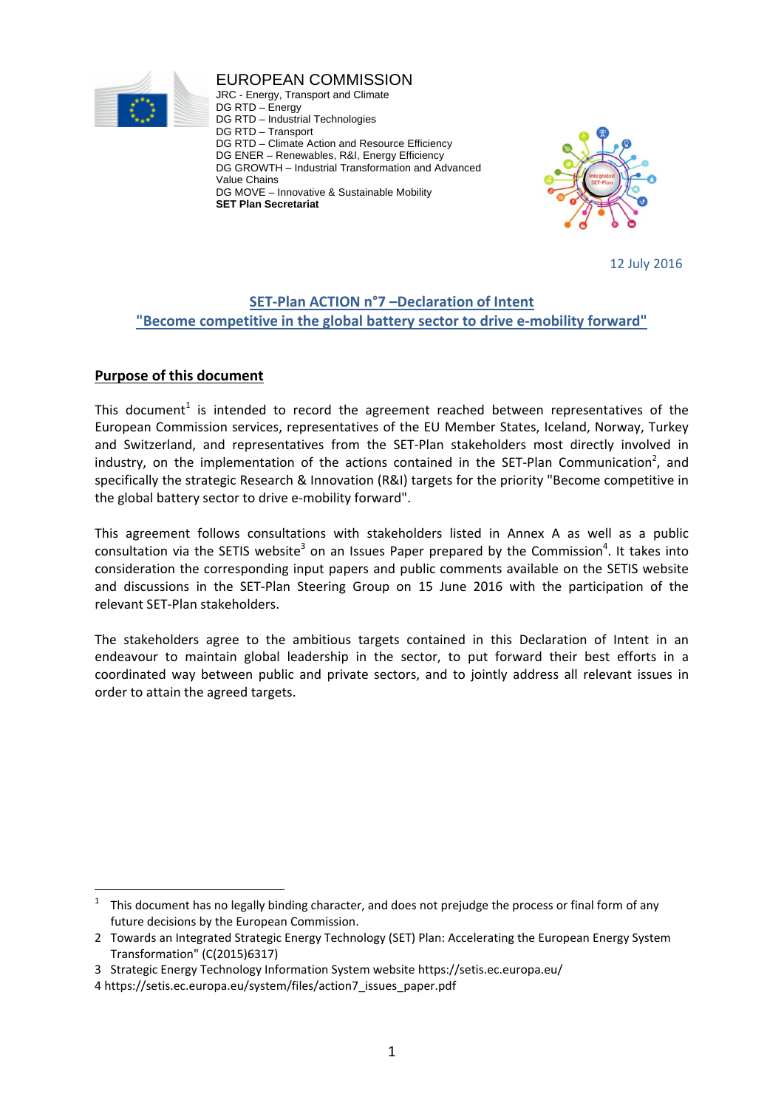

EUROPEAN COMMISSION JRC - Energy, Transport and Climate DG RTD – Energy DG RTD – Industrial Technologies DG RTD – Transport DG RTD – Climate Action and Resource Efficiency DG ENER – Renewables, R&I, Energy Efficiency DG GROWTH – Industrial Transformation and Advanced Value Chains DG MOVE – Innovative & Sustainable Mobility

**SET Plan Secretariat** 



12 July 2016

# **SET‐Plan ACTION n°7 –Declaration of Intent "Become competitive in the global battery sector to drive e‐mobility forward"**

# **Purpose of this document**

This document<sup>1</sup> is intended to record the agreement reached between representatives of the European Commission services, representatives of the EU Member States, Iceland, Norway, Turkey and Switzerland, and representatives from the SET‐Plan stakeholders most directly involved in industry, on the implementation of the actions contained in the SET-Plan Communication<sup>2</sup>, and specifically the strategic Research & Innovation (R&I) targets for the priority "Become competitive in the global battery sector to drive e‐mobility forward".

This agreement follows consultations with stakeholders listed in Annex A as well as a public consultation via the SETIS website<sup>3</sup> on an Issues Paper prepared by the Commission<sup>4</sup>. It takes into consideration the corresponding input papers and public comments available on the SETIS website and discussions in the SET‐Plan Steering Group on 15 June 2016 with the participation of the relevant SET‐Plan stakeholders.

The stakeholders agree to the ambitious targets contained in this Declaration of Intent in an endeavour to maintain global leadership in the sector, to put forward their best efforts in a coordinated way between public and private sectors, and to jointly address all relevant issues in order to attain the agreed targets.

<sup>1</sup> This document has no legally binding character, and does not prejudge the process or final form of any future decisions by the European Commission.

<sup>2</sup> Towards an Integrated Strategic Energy Technology (SET) Plan: Accelerating the European Energy System Transformation" (C(2015)6317)

<sup>3</sup> Strategic Energy Technology Information System website https://setis.ec.europa.eu/

<sup>4</sup> https://setis.ec.europa.eu/system/files/action7\_issues\_paper.pdf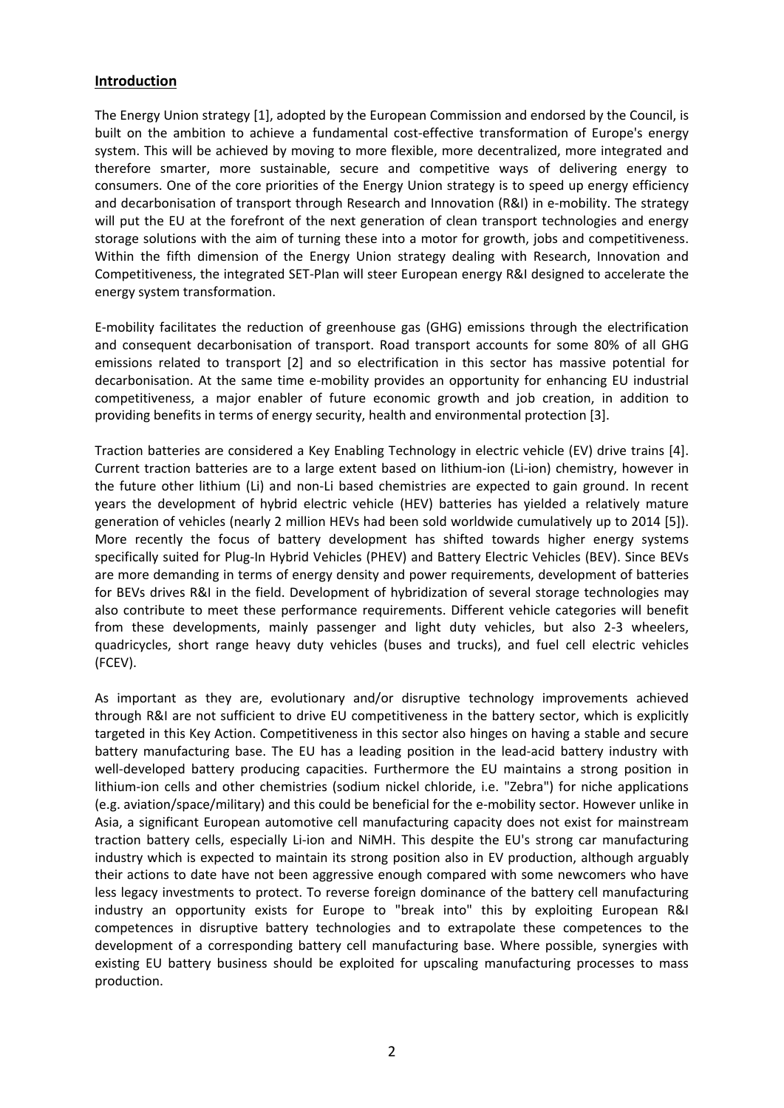### **Introduction**

The Energy Union strategy [1], adopted by the European Commission and endorsed by the Council, is built on the ambition to achieve a fundamental cost-effective transformation of Europe's energy system. This will be achieved by moving to more flexible, more decentralized, more integrated and therefore smarter, more sustainable, secure and competitive ways of delivering energy to consumers. One of the core priorities of the Energy Union strategy is to speed up energy efficiency and decarbonisation of transport through Research and Innovation (R&I) in e-mobility. The strategy will put the EU at the forefront of the next generation of clean transport technologies and energy storage solutions with the aim of turning these into a motor for growth, jobs and competitiveness. Within the fifth dimension of the Energy Union strategy dealing with Research, Innovation and Competitiveness, the integrated SET‐Plan will steer European energy R&I designed to accelerate the energy system transformation.

E‐mobility facilitates the reduction of greenhouse gas (GHG) emissions through the electrification and consequent decarbonisation of transport. Road transport accounts for some 80% of all GHG emissions related to transport [2] and so electrification in this sector has massive potential for decarbonisation. At the same time e‐mobility provides an opportunity for enhancing EU industrial competitiveness, a major enabler of future economic growth and job creation, in addition to providing benefits in terms of energy security, health and environmental protection [3].

Traction batteries are considered a Key Enabling Technology in electric vehicle (EV) drive trains [4]. Current traction batteries are to a large extent based on lithium‐ion (Li‐ion) chemistry, however in the future other lithium (Li) and non‐Li based chemistries are expected to gain ground. In recent years the development of hybrid electric vehicle (HEV) batteries has yielded a relatively mature generation of vehicles (nearly 2 million HEVs had been sold worldwide cumulatively up to 2014 [5]). More recently the focus of battery development has shifted towards higher energy systems specifically suited for Plug-In Hybrid Vehicles (PHEV) and Battery Electric Vehicles (BEV). Since BEVs are more demanding in terms of energy density and power requirements, development of batteries for BEVs drives R&I in the field. Development of hybridization of several storage technologies may also contribute to meet these performance requirements. Different vehicle categories will benefit from these developments, mainly passenger and light duty vehicles, but also 2‐3 wheelers, quadricycles, short range heavy duty vehicles (buses and trucks), and fuel cell electric vehicles (FCEV).

As important as they are, evolutionary and/or disruptive technology improvements achieved through R&I are not sufficient to drive EU competitiveness in the battery sector, which is explicitly targeted in this Key Action. Competitiveness in this sector also hinges on having a stable and secure battery manufacturing base. The EU has a leading position in the lead-acid battery industry with well-developed battery producing capacities. Furthermore the EU maintains a strong position in lithium-ion cells and other chemistries (sodium nickel chloride, i.e. "Zebra") for niche applications (e.g. aviation/space/military) and this could be beneficial for the e‐mobility sector. However unlike in Asia, a significant European automotive cell manufacturing capacity does not exist for mainstream traction battery cells, especially Li‐ion and NiMH. This despite the EU's strong car manufacturing industry which is expected to maintain its strong position also in EV production, although arguably their actions to date have not been aggressive enough compared with some newcomers who have less legacy investments to protect. To reverse foreign dominance of the battery cell manufacturing industry an opportunity exists for Europe to "break into" this by exploiting European R&I competences in disruptive battery technologies and to extrapolate these competences to the development of a corresponding battery cell manufacturing base. Where possible, synergies with existing EU battery business should be exploited for upscaling manufacturing processes to mass production.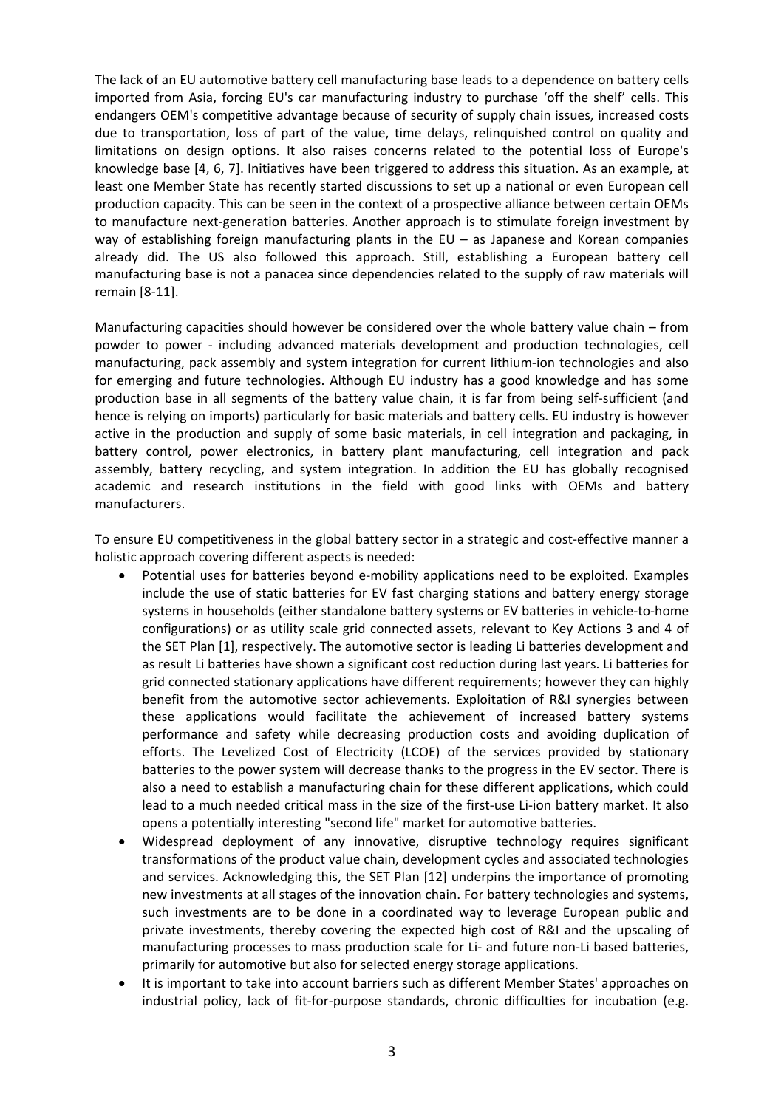The lack of an EU automotive battery cell manufacturing base leads to a dependence on battery cells imported from Asia, forcing EU's car manufacturing industry to purchase 'off the shelf' cells. This endangers OEM's competitive advantage because of security of supply chain issues, increased costs due to transportation, loss of part of the value, time delays, relinquished control on quality and limitations on design options. It also raises concerns related to the potential loss of Europe's knowledge base [4, 6, 7]. Initiatives have been triggered to address this situation. As an example, at least one Member State has recently started discussions to set up a national or even European cell production capacity. This can be seen in the context of a prospective alliance between certain OEMs to manufacture next-generation batteries. Another approach is to stimulate foreign investment by way of establishing foreign manufacturing plants in the EU – as Japanese and Korean companies already did. The US also followed this approach. Still, establishing a European battery cell manufacturing base is not a panacea since dependencies related to the supply of raw materials will remain [8‐11].

Manufacturing capacities should however be considered over the whole battery value chain – from powder to power ‐ including advanced materials development and production technologies, cell manufacturing, pack assembly and system integration for current lithium-ion technologies and also for emerging and future technologies. Although EU industry has a good knowledge and has some production base in all segments of the battery value chain, it is far from being self‐sufficient (and hence is relying on imports) particularly for basic materials and battery cells. EU industry is however active in the production and supply of some basic materials, in cell integration and packaging, in battery control, power electronics, in battery plant manufacturing, cell integration and pack assembly, battery recycling, and system integration. In addition the EU has globally recognised academic and research institutions in the field with good links with OEMs and battery manufacturers.

To ensure EU competitiveness in the global battery sector in a strategic and cost-effective manner a holistic approach covering different aspects is needed:

- Potential uses for batteries beyond e‐mobility applications need to be exploited. Examples include the use of static batteries for EV fast charging stations and battery energy storage systems in households (either standalone battery systems or EV batteries in vehicle‐to‐home configurations) or as utility scale grid connected assets, relevant to Key Actions 3 and 4 of the SET Plan [1], respectively. The automotive sector is leading Li batteries development and as result Li batteries have shown a significant cost reduction during last years. Li batteries for grid connected stationary applications have different requirements; however they can highly benefit from the automotive sector achievements. Exploitation of R&I synergies between these applications would facilitate the achievement of increased battery systems performance and safety while decreasing production costs and avoiding duplication of efforts. The Levelized Cost of Electricity (LCOE) of the services provided by stationary batteries to the power system will decrease thanks to the progress in the EV sector. There is also a need to establish a manufacturing chain for these different applications, which could lead to a much needed critical mass in the size of the first-use Li-ion battery market. It also opens a potentially interesting "second life" market for automotive batteries.
- Widespread deployment of any innovative, disruptive technology requires significant transformations of the product value chain, development cycles and associated technologies and services. Acknowledging this, the SET Plan [12] underpins the importance of promoting new investments at all stages of the innovation chain. For battery technologies and systems, such investments are to be done in a coordinated way to leverage European public and private investments, thereby covering the expected high cost of R&I and the upscaling of manufacturing processes to mass production scale for Li‐ and future non‐Li based batteries, primarily for automotive but also for selected energy storage applications.
- It is important to take into account barriers such as different Member States' approaches on industrial policy, lack of fit-for-purpose standards, chronic difficulties for incubation (e.g.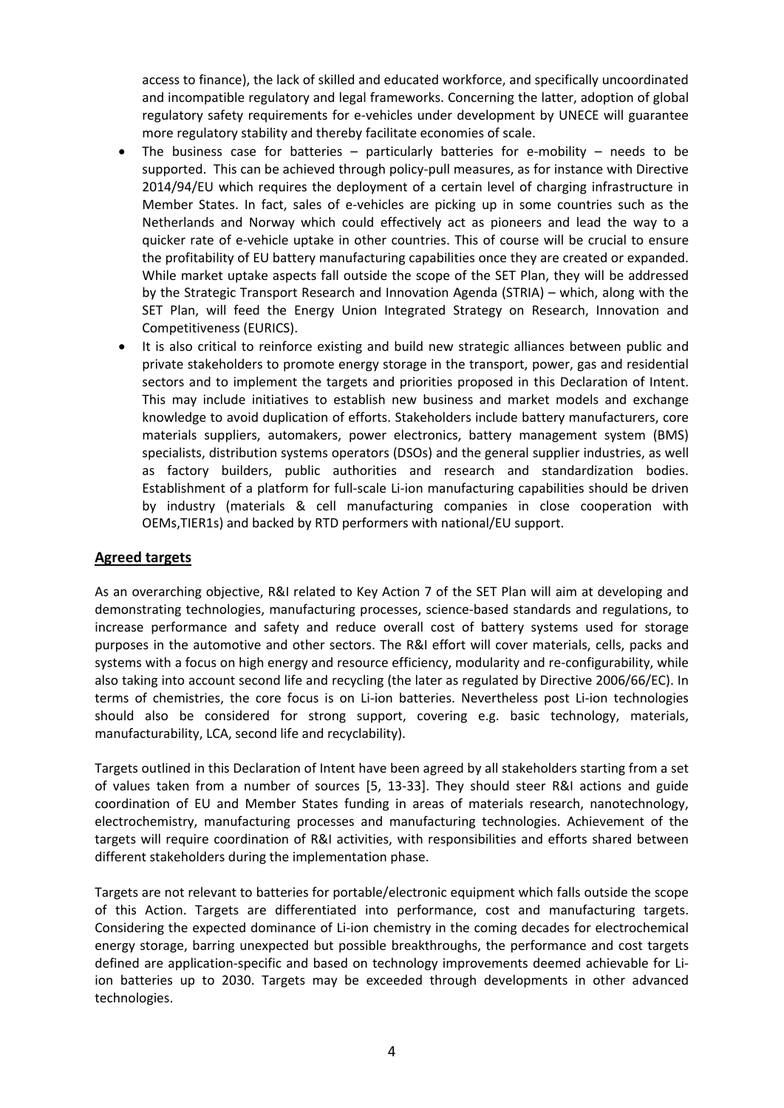access to finance), the lack of skilled and educated workforce, and specifically uncoordinated and incompatible regulatory and legal frameworks. Concerning the latter, adoption of global regulatory safety requirements for e-vehicles under development by UNECE will guarantee more regulatory stability and thereby facilitate economies of scale.

- The business case for batteries particularly batteries for e-mobility needs to be supported. This can be achieved through policy‐pull measures, as for instance with Directive 2014/94/EU which requires the deployment of a certain level of charging infrastructure in Member States. In fact, sales of e‐vehicles are picking up in some countries such as the Netherlands and Norway which could effectively act as pioneers and lead the way to a quicker rate of e‐vehicle uptake in other countries. This of course will be crucial to ensure the profitability of EU battery manufacturing capabilities once they are created or expanded. While market uptake aspects fall outside the scope of the SET Plan, they will be addressed by the Strategic Transport Research and Innovation Agenda (STRIA) – which, along with the SET Plan, will feed the Energy Union Integrated Strategy on Research, Innovation and Competitiveness (EURICS).
- It is also critical to reinforce existing and build new strategic alliances between public and private stakeholders to promote energy storage in the transport, power, gas and residential sectors and to implement the targets and priorities proposed in this Declaration of Intent. This may include initiatives to establish new business and market models and exchange knowledge to avoid duplication of efforts. Stakeholders include battery manufacturers, core materials suppliers, automakers, power electronics, battery management system (BMS) specialists, distribution systems operators (DSOs) and the general supplier industries, as well as factory builders, public authorities and research and standardization bodies. Establishment of a platform for full‐scale Li‐ion manufacturing capabilities should be driven by industry (materials & cell manufacturing companies in close cooperation with OEMs,TIER1s) and backed by RTD performers with national/EU support.

### **Agreed targets**

As an overarching objective, R&I related to Key Action 7 of the SET Plan will aim at developing and demonstrating technologies, manufacturing processes, science‐based standards and regulations, to increase performance and safety and reduce overall cost of battery systems used for storage purposes in the automotive and other sectors. The R&I effort will cover materials, cells, packs and systems with a focus on high energy and resource efficiency, modularity and re-configurability, while also taking into account second life and recycling (the later as regulated by Directive 2006/66/EC). In terms of chemistries, the core focus is on Li-ion batteries. Nevertheless post Li-ion technologies should also be considered for strong support, covering e.g. basic technology, materials, manufacturability, LCA, second life and recyclability).

Targets outlined in this Declaration of Intent have been agreed by all stakeholders starting from a set of values taken from a number of sources [5, 13‐33]. They should steer R&I actions and guide coordination of EU and Member States funding in areas of materials research, nanotechnology, electrochemistry, manufacturing processes and manufacturing technologies. Achievement of the targets will require coordination of R&I activities, with responsibilities and efforts shared between different stakeholders during the implementation phase.

Targets are not relevant to batteries for portable/electronic equipment which falls outside the scope of this Action. Targets are differentiated into performance, cost and manufacturing targets. Considering the expected dominance of Li‐ion chemistry in the coming decades for electrochemical energy storage, barring unexpected but possible breakthroughs, the performance and cost targets defined are application‐specific and based on technology improvements deemed achievable for Li‐ ion batteries up to 2030. Targets may be exceeded through developments in other advanced technologies.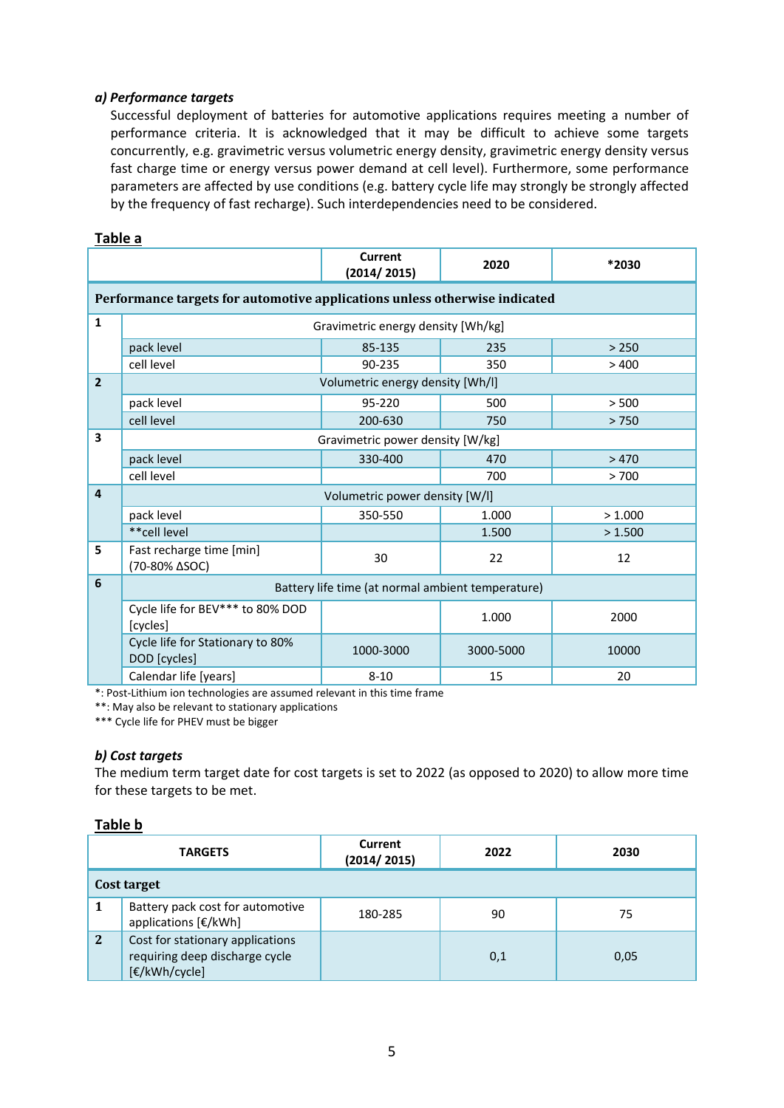### *a) Performance targets*

Successful deployment of batteries for automotive applications requires meeting a number of performance criteria. It is acknowledged that it may be difficult to achieve some targets concurrently, e.g. gravimetric versus volumetric energy density, gravimetric energy density versus fast charge time or energy versus power demand at cell level). Furthermore, some performance parameters are affected by use conditions (e.g. battery cycle life may strongly be strongly affected by the frequency of fast recharge). Such interdependencies need to be considered.

|                                                    |                                                                            | <b>Current</b><br>(2014/2015) | 2020      | *2030   |
|----------------------------------------------------|----------------------------------------------------------------------------|-------------------------------|-----------|---------|
|                                                    | Performance targets for automotive applications unless otherwise indicated |                               |           |         |
| $\mathbf{1}$                                       | Gravimetric energy density [Wh/kg]                                         |                               |           |         |
|                                                    | pack level                                                                 | 85-135                        | 235       | > 250   |
|                                                    | cell level                                                                 | 90-235                        | 350       | >400    |
| $\overline{2}$<br>Volumetric energy density [Wh/I] |                                                                            |                               |           |         |
|                                                    | pack level                                                                 | 95-220                        | 500       | > 500   |
|                                                    | cell level                                                                 | 200-630                       | 750       | >750    |
| 3                                                  | Gravimetric power density [W/kg]                                           |                               |           |         |
|                                                    | pack level                                                                 | 330-400                       | 470       | >470    |
|                                                    | cell level                                                                 |                               | 700       | >700    |
| 4                                                  | Volumetric power density [W/I]                                             |                               |           |         |
|                                                    | pack level                                                                 | 350-550                       | 1.000     | >1.000  |
|                                                    | **cell level                                                               |                               | 1.500     | > 1.500 |
| 5                                                  | Fast recharge time [min]<br>(70-80% ∆SOC)                                  | 30                            | 22        | 12      |
| 6                                                  | Battery life time (at normal ambient temperature)                          |                               |           |         |
|                                                    | Cycle life for BEV*** to 80% DOD<br>[cycles]                               |                               | 1.000     | 2000    |
|                                                    | Cycle life for Stationary to 80%<br>DOD [cycles]                           | 1000-3000                     | 3000-5000 | 10000   |
|                                                    | Calendar life [years]                                                      | $8 - 10$                      | 15        | 20      |

\*: Post‐Lithium ion technologies are assumed relevant in this time frame

\*\*: May also be relevant to stationary applications

\*\*\* Cycle life for PHEV must be bigger

### *b) Cost targets*

The medium term target date for cost targets is set to 2022 (as opposed to 2020) to allow more time for these targets to be met.

#### **Table b**

| <b>TARGETS</b> |                                                                                     | <b>Current</b><br>(2014/2015) | 2022 | 2030 |
|----------------|-------------------------------------------------------------------------------------|-------------------------------|------|------|
| Cost target    |                                                                                     |                               |      |      |
|                | Battery pack cost for automotive<br>applications [€/kWh]                            | 180-285                       | 90   | 75   |
| $\mathbf{2}$   | Cost for stationary applications<br>requiring deep discharge cycle<br>[€/kWh/cycle] |                               | 0,1  | 0,05 |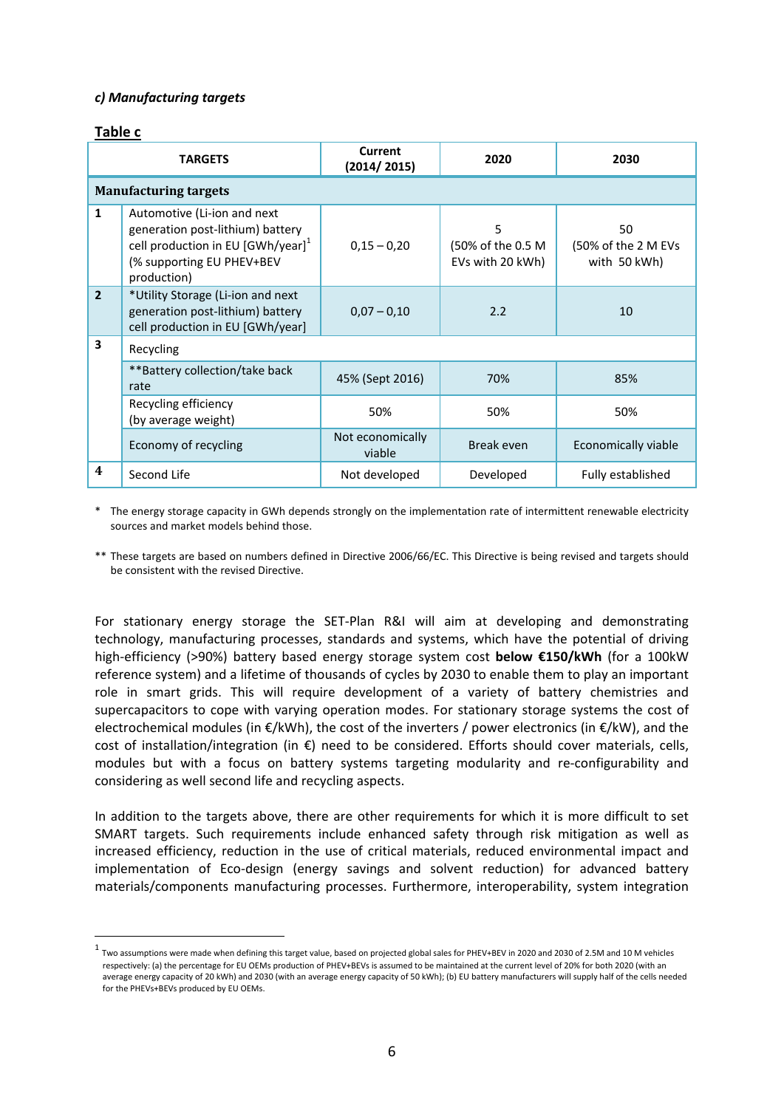#### *c) Manufacturing targets*

#### **Table c**

| <b>TARGETS</b> |                                                                                                                                                                | <b>Current</b><br>(2014/2015) | 2020                                       | 2030                                      |
|----------------|----------------------------------------------------------------------------------------------------------------------------------------------------------------|-------------------------------|--------------------------------------------|-------------------------------------------|
|                | <b>Manufacturing targets</b>                                                                                                                                   |                               |                                            |                                           |
| $\mathbf{1}$   | Automotive (Li-ion and next<br>generation post-lithium) battery<br>cell production in EU $[GWh/year]$ <sup>1</sup><br>(% supporting EU PHEV+BEV<br>production) | $0,15 - 0,20$                 | 5<br>(50% of the 0.5 M<br>EVs with 20 kWh) | 50<br>(50% of the 2 M EVs<br>with 50 kWh) |
| $\overline{2}$ | *Utility Storage (Li-ion and next<br>generation post-lithium) battery<br>cell production in EU [GWh/year]                                                      | $0.07 - 0.10$                 | 2.2                                        | 10                                        |
| 3              | Recycling                                                                                                                                                      |                               |                                            |                                           |
|                | ** Battery collection/take back<br>rate                                                                                                                        | 45% (Sept 2016)               | 70%                                        | 85%                                       |
|                | Recycling efficiency<br>(by average weight)                                                                                                                    | 50%                           | 50%                                        | 50%                                       |
|                | Economy of recycling                                                                                                                                           | Not economically<br>viable    | Break even                                 | Economically viable                       |
| $\overline{4}$ | Second Life                                                                                                                                                    | Not developed                 | Developed                                  | Fully established                         |

\* The energy storage capacity in GWh depends strongly on the implementation rate of intermittent renewable electricity sources and market models behind those.

\*\* These targets are based on numbers defined in Directive 2006/66/EC. This Directive is being revised and targets should be consistent with the revised Directive.

For stationary energy storage the SET‐Plan R&I will aim at developing and demonstrating technology, manufacturing processes, standards and systems, which have the potential of driving high‐efficiency (>90%) battery based energy storage system cost **below €150/kWh** (for a 100kW reference system) and a lifetime of thousands of cycles by 2030 to enable them to play an important role in smart grids. This will require development of a variety of battery chemistries and supercapacitors to cope with varying operation modes. For stationary storage systems the cost of electrochemical modules (in €/kWh), the cost of the inverters / power electronics (in €/kW), and the cost of installation/integration (in €) need to be considered. Efforts should cover materials, cells, modules but with a focus on battery systems targeting modularity and re‐configurability and considering as well second life and recycling aspects.

In addition to the targets above, there are other requirements for which it is more difficult to set SMART targets. Such requirements include enhanced safety through risk mitigation as well as increased efficiency, reduction in the use of critical materials, reduced environmental impact and implementation of Eco-design (energy savings and solvent reduction) for advanced battery materials/components manufacturing processes. Furthermore, interoperability, system integration

<sup>1</sup> Two assumptions were made when defining this target value, based on projected global sales for PHEV+BEV in <sup>2020</sup> and <sup>2030</sup> of 2.5M and <sup>10</sup> <sup>M</sup> vehicles respectively: (a) the percentage for EU OEMs production of PHEV+BEVs is assumed to be maintained at the current level of 20% for both 2020 (with an average energy capacity of 20 kWh) and 2030 (with an average energy capacity of 50 kWh); (b) EU battery manufacturers will supply half of the cells needed for the PHEVs+BEVs produced by EU OEMs.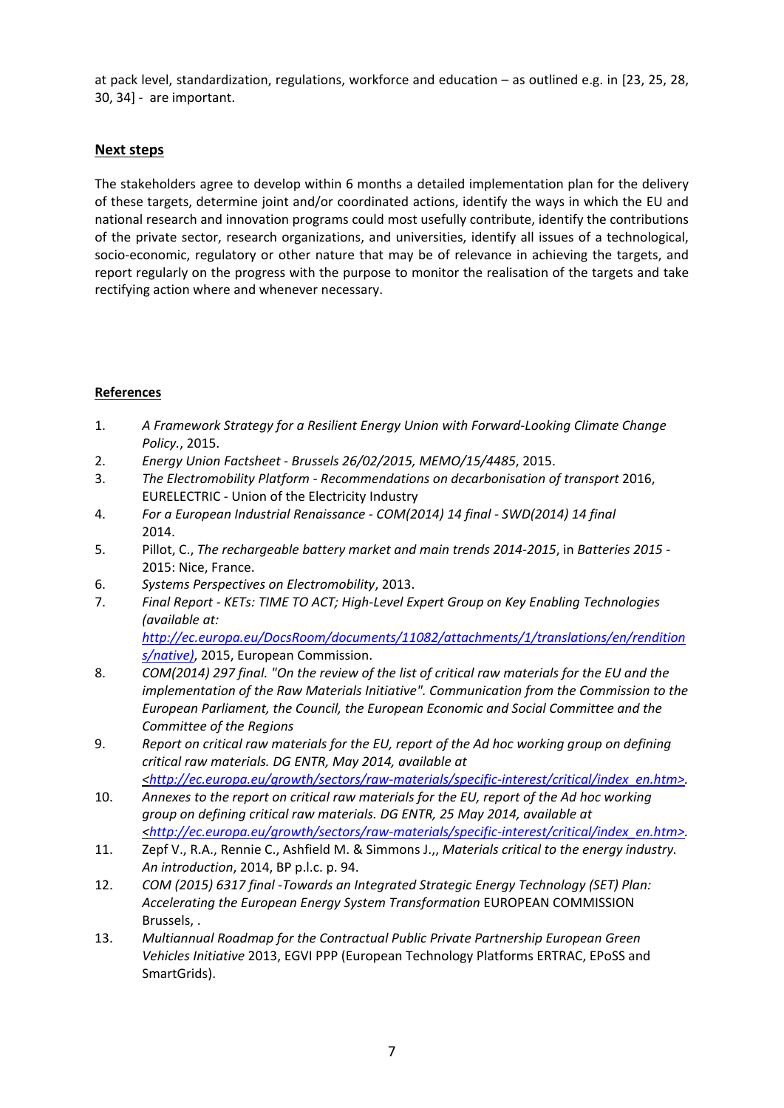at pack level, standardization, regulations, workforce and education – as outlined e.g. in [23, 25, 28, 30, 34] ‐ are important.

# **Next steps**

The stakeholders agree to develop within 6 months a detailed implementation plan for the delivery of these targets, determine joint and/or coordinated actions, identify the ways in which the EU and national research and innovation programs could most usefully contribute, identify the contributions of the private sector, research organizations, and universities, identify all issues of a technological, socio-economic, regulatory or other nature that may be of relevance in achieving the targets, and report regularly on the progress with the purpose to monitor the realisation of the targets and take rectifying action where and whenever necessary.

## **References**

- 1. *A Framework Strategy for a Resilient Energy Union with Forward‐Looking Climate Change Policy.*, 2015.
- 2. *Energy Union Factsheet ‐ Brussels 26/02/2015, MEMO/15/4485*, 2015.
- 3. *The Electromobility Platform ‐ Recommendations on decarbonisation of transport* 2016, EURELECTRIC ‐ Union of the Electricity Industry
- 4. *For a European Industrial Renaissance ‐ COM(2014) 14 final ‐ SWD(2014) 14 final* 2014.
- 5. Pillot, C., *The rechargeable battery market and main trends 2014‐2015*, in *Batteries 2015 ‐*  2015: Nice, France.
- 6. *Systems Perspectives on Electromobility*, 2013.
- 7. *Final Report ‐ KETs: TIME TO ACT; High‐Level Expert Group on Key Enabling Technologies (available at:*

*http://ec.europa.eu/DocsRoom/documents/11082/attachments/1/translations/en/rendition s/native)*, 2015, European Commission.

- 8. *COM(2014) 297 final. "On the review of the list of critical raw materials for the EU and the implementation of the Raw Materials Initiative". Communication from the Commission to the European Parliament, the Council, the European Economic and Social Committee and the Committee of the Regions*
- 9. *Report on critical raw materials for the EU, report of the Ad hoc working group on defining critical raw materials. DG ENTR, May 2014, available at <http://ec.europa.eu/growth/sectors/raw‐materials/specific‐interest/critical/index\_en.htm>.*
- 10. *Annexes to the report on critical raw materials for the EU, report of the Ad hoc working group on defining critical raw materials. DG ENTR, 25 May 2014, available at <http://ec.europa.eu/growth/sectors/raw‐materials/specific‐interest/critical/index\_en.htm>.*
- 11. Zepf V., R.A., Rennie C., Ashfield M. & Simmons J.,, *Materials critical to the energy industry. An introduction*, 2014, BP p.l.c. p. 94.
- 12. *COM (2015) 6317 final ‐Towards an Integrated Strategic Energy Technology (SET) Plan: Accelerating the European Energy System Transformation* EUROPEAN COMMISSION Brussels, .
- 13. *Multiannual Roadmap for the Contractual Public Private Partnership European Green Vehicles Initiative* 2013, EGVI PPP (European Technology Platforms ERTRAC, EPoSS and SmartGrids).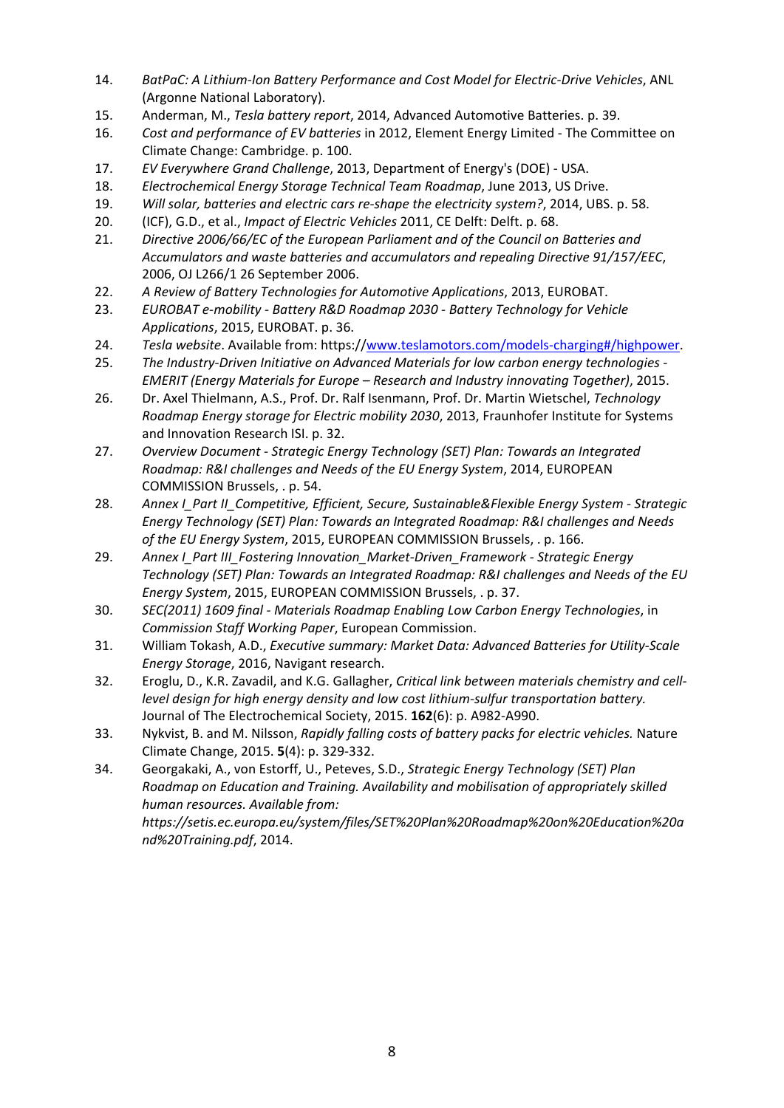- 14. *BatPaC: A Lithium‐Ion Battery Performance and Cost Model for Electric‐Drive Vehicles*, ANL (Argonne National Laboratory).
- 15. Anderman, M., *Tesla battery report*, 2014, Advanced Automotive Batteries. p. 39.
- 16. *Cost and performance of EV batteries* in 2012, Element Energy Limited ‐ The Committee on Climate Change: Cambridge. p. 100.
- 17. *EV Everywhere Grand Challenge*, 2013, Department of Energy's (DOE) ‐ USA.
- 18. *Electrochemical Energy Storage Technical Team Roadmap*, June 2013, US Drive.
- 19. *Will solar, batteries and electric cars re‐shape the electricity system?*, 2014, UBS. p. 58.
- 20. (ICF), G.D., et al., *Impact of Electric Vehicles* 2011, CE Delft: Delft. p. 68.
- 21. *Directive 2006/66/EC of the European Parliament and of the Council on Batteries and Accumulators and waste batteries and accumulators and repealing Directive 91/157/EEC*, 2006, OJ L266/1 26 September 2006.
- 22. *A Review of Battery Technologies for Automotive Applications*, 2013, EUROBAT.
- 23. *EUROBAT e‐mobility ‐ Battery R&D Roadmap 2030 ‐ Battery Technology for Vehicle Applications*, 2015, EUROBAT. p. 36.
- 24. *Tesla website*. Available from: https://www.teslamotors.com/models‐charging#/highpower.
- 25. *The Industry‐Driven Initiative on Advanced Materials for low carbon energy technologies ‐ EMERIT (Energy Materials for Europe – Research and Industry innovating Together)*, 2015.
- 26. Dr. Axel Thielmann, A.S., Prof. Dr. Ralf Isenmann, Prof. Dr. Martin Wietschel, *Technology Roadmap Energy storage for Electric mobility 2030*, 2013, Fraunhofer Institute for Systems and Innovation Research ISI. p. 32.
- 27. *Overview Document ‐ Strategic Energy Technology (SET) Plan: Towards an Integrated Roadmap: R&I challenges and Needs of the EU Energy System*, 2014, EUROPEAN COMMISSION Brussels, . p. 54.
- 28. *Annex I\_Part II\_Competitive, Efficient, Secure, Sustainable&Flexible Energy System ‐ Strategic Energy Technology (SET) Plan: Towards an Integrated Roadmap: R&I challenges and Needs of the EU Energy System*, 2015, EUROPEAN COMMISSION Brussels, . p. 166.
- 29. *Annex I\_Part III\_Fostering Innovation\_Market‐Driven\_Framework ‐ Strategic Energy Technology (SET) Plan: Towards an Integrated Roadmap: R&I challenges and Needs of the EU Energy System*, 2015, EUROPEAN COMMISSION Brussels, . p. 37.
- 30. *SEC(2011) 1609 final ‐ Materials Roadmap Enabling Low Carbon Energy Technologies*, in *Commission Staff Working Paper*, European Commission.
- 31. William Tokash, A.D., *Executive summary: Market Data: Advanced Batteries for Utility‐Scale Energy Storage*, 2016, Navigant research.
- 32. Eroglu, D., K.R. Zavadil, and K.G. Gallagher, *Critical link between materials chemistry and cell‐ level design for high energy density and low cost lithium‐sulfur transportation battery.* Journal of The Electrochemical Society, 2015. **162**(6): p. A982‐A990.
- 33. Nykvist, B. and M. Nilsson, *Rapidly falling costs of battery packs for electric vehicles.* Nature Climate Change, 2015. **5**(4): p. 329‐332.
- 34. Georgakaki, A., von Estorff, U., Peteves, S.D., *Strategic Energy Technology (SET) Plan Roadmap on Education and Training. Availability and mobilisation of appropriately skilled human resources. Available from:*

*https://setis.ec.europa.eu/system/files/SET%20Plan%20Roadmap%20on%20Education%20a nd%20Training.pdf*, 2014.